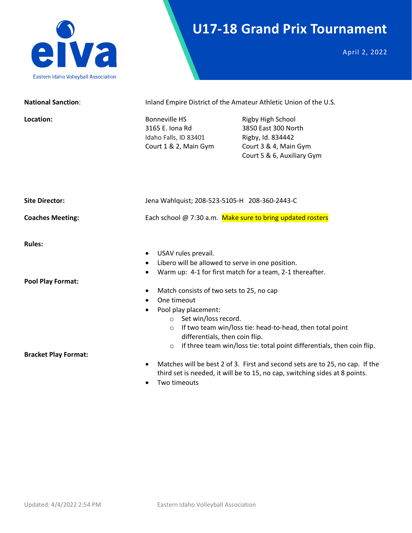

## **U17-18 Grand Prix Tournament**

April 2, 2022

| <b>National Sanction:</b>   |                                                                                                                                                                                | Inland Empire District of the Amateur Athletic Union of the U.S.                                                                                            |
|-----------------------------|--------------------------------------------------------------------------------------------------------------------------------------------------------------------------------|-------------------------------------------------------------------------------------------------------------------------------------------------------------|
| Location:                   | <b>Bonneville HS</b><br>3165 E. Iona Rd<br>Idaho Falls, ID 83401<br>Court 1 & 2, Main Gym                                                                                      | Rigby High School<br>3850 East 300 North<br>Rigby, Id. 834442<br>Court 3 & 4, Main Gym<br>Court 5 & 6, Auxiliary Gym                                        |
| <b>Site Director:</b>       | Jena Wahlquist; 208-523-5105-H 208-360-2443-C                                                                                                                                  |                                                                                                                                                             |
| <b>Coaches Meeting:</b>     | Each school @ 7:30 a.m. Make sure to bring updated rosters                                                                                                                     |                                                                                                                                                             |
| <b>Rules:</b>               | USAV rules prevail.<br>Libero will be allowed to serve in one position.<br>$\bullet$                                                                                           | Warm up: 4-1 for first match for a team, 2-1 thereafter.                                                                                                    |
| <b>Pool Play Format:</b>    | Match consists of two sets to 25, no cap<br>One timeout<br>Pool play placement:<br>$\bullet$<br>o Set win/loss record.<br>$\circ$<br>differentials, then coin flip.<br>$\circ$ | If two team win/loss tie: head-to-head, then total point<br>If three team win/loss tie: total point differentials, then coin flip.                          |
| <b>Bracket Play Format:</b> | $\bullet$                                                                                                                                                                      | Matches will be best 2 of 3. First and second sets are to 25, no cap. If the<br>third set is needed, it will be to 15, no cap, switching sides at 8 points. |

• Two timeouts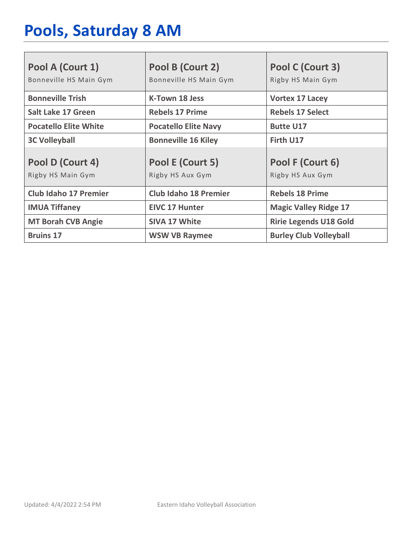# **Pools, Saturday 8 AM**

| Pool A (Court 1)<br>Bonneville HS Main Gym | Pool B (Court 2)<br>Bonneville HS Main Gym | Pool C (Court 3)<br>Rigby HS Main Gym |
|--------------------------------------------|--------------------------------------------|---------------------------------------|
| <b>Bonneville Trish</b>                    | <b>K-Town 18 Jess</b>                      | <b>Vortex 17 Lacey</b>                |
| <b>Salt Lake 17 Green</b>                  | <b>Rebels 17 Prime</b>                     | <b>Rebels 17 Select</b>               |
| <b>Pocatello Elite White</b>               | <b>Pocatello Elite Navy</b>                | <b>Butte U17</b>                      |
| <b>3C Volleyball</b>                       | <b>Bonneville 16 Kiley</b>                 | Firth U17                             |
| Pool D (Court 4)<br>Rigby HS Main Gym      | Pool E (Court 5)<br>Rigby HS Aux Gym       | Pool F (Court 6)<br>Rigby HS Aux Gym  |
| <b>Club Idaho 17 Premier</b>               | <b>Club Idaho 18 Premier</b>               | <b>Rebels 18 Prime</b>                |
| <b>IMUA Tiffaney</b>                       | <b>EIVC 17 Hunter</b>                      | <b>Magic Valley Ridge 17</b>          |
| <b>MT Borah CVB Angie</b>                  | <b>SIVA 17 White</b>                       | <b>Ririe Legends U18 Gold</b>         |
| <b>Bruins 17</b>                           | <b>WSW VB Raymee</b>                       | <b>Burley Club Volleyball</b>         |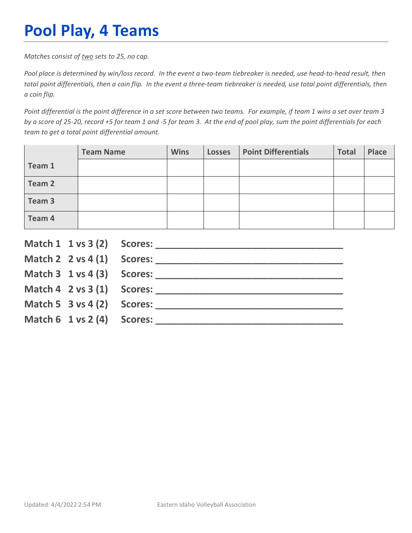## **Pool Play, 4 Teams**

*Matches consist of two sets to 25, no cap.*

*Pool place is determined by win/loss record. In the event a two-team tiebreaker is needed, use head-to-head result, then total point differentials, then a coin flip. In the event a three-team tiebreaker is needed, use total point differentials, then a coin flip.*

*Point differential is the point difference in a set score between two teams. For example, if team 1 wins a set over team 3 by a score of 25-20, record +5 for team 1 and -5 for team 3. At the end of pool play, sum the point differentials for each team to get a total point differential amount.* 

|        | <b>Team Name</b> | <b>Wins</b> | <b>Losses</b> | <b>Point Differentials</b> | <b>Total</b> | Place |
|--------|------------------|-------------|---------------|----------------------------|--------------|-------|
| Team 1 |                  |             |               |                            |              |       |
| Team 2 |                  |             |               |                            |              |       |
| Team 3 |                  |             |               |                            |              |       |
| Team 4 |                  |             |               |                            |              |       |

|                                        | Match $2 \times 4(1)$ Scores:              |
|----------------------------------------|--------------------------------------------|
|                                        |                                            |
|                                        | Match $4 \quad 2 \text{ vs } 3(1)$ Scores: |
| Match 5 $3$ vs 4 (2) Scores:           |                                            |
| Match $6 \t1 \text{ vs } 2(4)$ Scores: |                                            |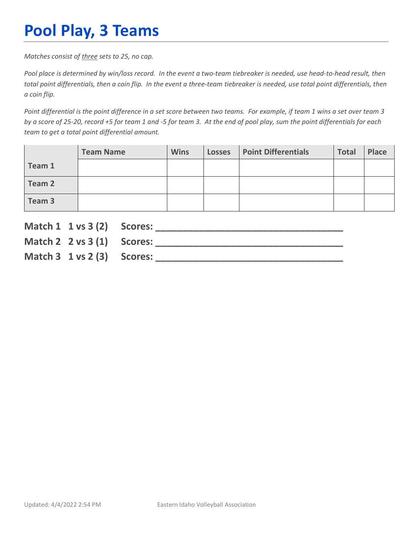## **Pool Play, 3 Teams**

*Matches consist of three sets to 25, no cap.*

*Pool place is determined by win/loss record. In the event a two-team tiebreaker is needed, use head-to-head result, then total point differentials, then a coin flip. In the event a three-team tiebreaker is needed, use total point differentials, then a coin flip.*

*Point differential is the point difference in a set score between two teams. For example, if team 1 wins a set over team 3 by a score of 25-20, record +5 for team 1 and -5 for team 3. At the end of pool play, sum the point differentials for each team to get a total point differential amount.* 

|        | <b>Team Name</b> | <b>Wins</b> | <b>Losses</b> | <b>Point Differentials</b> | <b>Total</b> | Place |
|--------|------------------|-------------|---------------|----------------------------|--------------|-------|
| Team 1 |                  |             |               |                            |              |       |
| Team 2 |                  |             |               |                            |              |       |
| Team 3 |                  |             |               |                            |              |       |

| Match 1 1 vs 3 (2) Scores:             |  |
|----------------------------------------|--|
| Match 2 $2 \text{ vs } 3(1)$ Scores:   |  |
| Match $3 \t1 \text{ vs } 2(3)$ Scores: |  |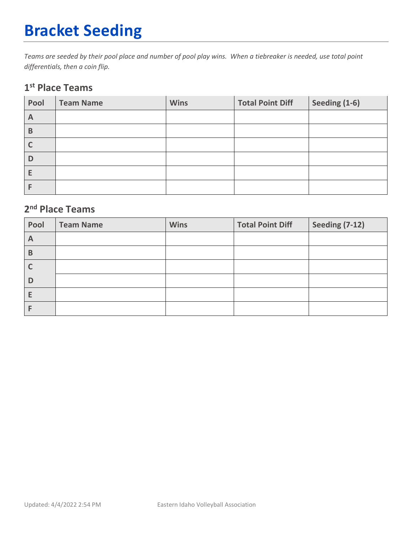## **Bracket Seeding**

*Teams are seeded by their pool place and number of pool play wins. When a tiebreaker is needed, use total point differentials, then a coin flip.*

#### **1st Place Teams**

| Pool | <b>Team Name</b> | <b>Wins</b> | <b>Total Point Diff</b> | Seeding (1-6) |
|------|------------------|-------------|-------------------------|---------------|
| A    |                  |             |                         |               |
| B    |                  |             |                         |               |
|      |                  |             |                         |               |
| D    |                  |             |                         |               |
| E    |                  |             |                         |               |
|      |                  |             |                         |               |

### **2nd Place Teams**

| Pool | <b>Team Name</b> | <b>Wins</b> | <b>Total Point Diff</b> | <b>Seeding (7-12)</b> |
|------|------------------|-------------|-------------------------|-----------------------|
| A    |                  |             |                         |                       |
| B    |                  |             |                         |                       |
|      |                  |             |                         |                       |
| D    |                  |             |                         |                       |
| E    |                  |             |                         |                       |
|      |                  |             |                         |                       |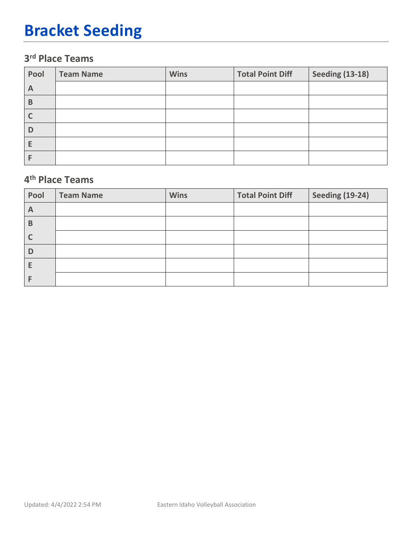## **Bracket Seeding**

### **3rd Place Teams**

| Pool | <b>Team Name</b> | <b>Wins</b> | <b>Total Point Diff</b> | <b>Seeding (13-18)</b> |
|------|------------------|-------------|-------------------------|------------------------|
| A    |                  |             |                         |                        |
| B    |                  |             |                         |                        |
|      |                  |             |                         |                        |
| D    |                  |             |                         |                        |
|      |                  |             |                         |                        |
|      |                  |             |                         |                        |

#### **4th Place Teams**

| Pool | <b>Team Name</b> | <b>Wins</b> | <b>Total Point Diff</b> | <b>Seeding (19-24)</b> |
|------|------------------|-------------|-------------------------|------------------------|
| A    |                  |             |                         |                        |
| B    |                  |             |                         |                        |
|      |                  |             |                         |                        |
| D    |                  |             |                         |                        |
|      |                  |             |                         |                        |
|      |                  |             |                         |                        |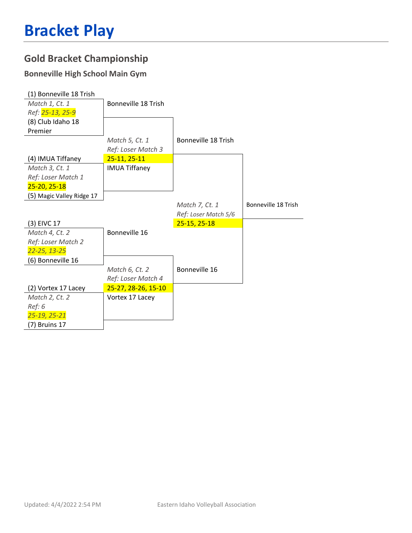### **Gold Bracket Championship**

#### **Bonneville High School Main Gym**

| (1) Bonneville 18 Trish   |                      |                      |                     |
|---------------------------|----------------------|----------------------|---------------------|
| Match 1, Ct. 1            | Bonneville 18 Trish  |                      |                     |
| Ref: 25-13, 25-9          |                      |                      |                     |
| (8) Club Idaho 18         |                      |                      |                     |
| Premier                   |                      |                      |                     |
|                           | Match 5, Ct. 1       | Bonneville 18 Trish  |                     |
|                           | Ref: Loser Match 3   |                      |                     |
| (4) IMUA Tiffaney         | $25-11, 25-11$       |                      |                     |
| Match 3, Ct. 1            | <b>IMUA Tiffaney</b> |                      |                     |
| Ref: Loser Match 1        |                      |                      |                     |
| $25 - 20, 25 - 18$        |                      |                      |                     |
| (5) Magic Valley Ridge 17 |                      |                      |                     |
|                           |                      | Match 7, Ct. 1       | Bonneville 18 Trish |
|                           |                      | Ref: Loser Match 5/6 |                     |
|                           |                      |                      |                     |
| (3) EIVC 17               |                      | $25-15, 25-18$       |                     |
| Match 4, Ct. 2            | Bonneville 16        |                      |                     |
| Ref: Loser Match 2        |                      |                      |                     |
| 22-25, 13-25              |                      |                      |                     |
| (6) Bonneville 16         |                      |                      |                     |
|                           | Match 6, Ct. 2       | Bonneville 16        |                     |
|                           | Ref: Loser Match 4   |                      |                     |
| (2) Vortex 17 Lacey       | 25-27, 28-26, 15-10  |                      |                     |
| Match 2, Ct. 2            | Vortex 17 Lacey      |                      |                     |
| Ref: 6                    |                      |                      |                     |
| 25-19, 25-21              |                      |                      |                     |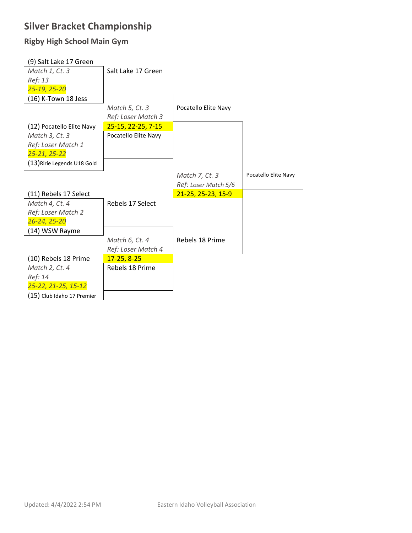### **Silver Bracket Championship**

#### **Rigby High School Main Gym**

| (9) Salt Lake 17 Green      |                      |                      |                      |
|-----------------------------|----------------------|----------------------|----------------------|
| Match 1, Ct. 3              | Salt Lake 17 Green   |                      |                      |
| Ref: 13                     |                      |                      |                      |
| 25-19, 25-20                |                      |                      |                      |
| (16) K-Town 18 Jess         |                      |                      |                      |
|                             | Match 5, Ct. 3       | Pocatello Elite Navy |                      |
|                             | Ref: Loser Match 3   |                      |                      |
| (12) Pocatello Elite Navy   | 25-15, 22-25, 7-15   |                      |                      |
| Match 3, Ct. 3              | Pocatello Elite Navy |                      |                      |
| Ref: Loser Match 1          |                      |                      |                      |
| 25-21, 25-22                |                      |                      |                      |
| (13) Ririe Legends U18 Gold |                      |                      |                      |
|                             |                      | Match 7, Ct. 3       | Pocatello Elite Navy |
|                             |                      |                      |                      |
|                             |                      | Ref: Loser Match 5/6 |                      |
| (11) Rebels 17 Select       |                      | 21-25, 25-23, 15-9   |                      |
| Match 4, Ct. 4              | Rebels 17 Select     |                      |                      |
| Ref: Loser Match 2          |                      |                      |                      |
| 26-24, 25-20                |                      |                      |                      |
| (14) WSW Rayme              |                      |                      |                      |
|                             | Match 6, Ct. 4       | Rebels 18 Prime      |                      |
|                             | Ref: Loser Match 4   |                      |                      |
| (10) Rebels 18 Prime        | $17 - 25, 8 - 25$    |                      |                      |
| Match 2, Ct. 4              | Rebels 18 Prime      |                      |                      |
| Ref: 14                     |                      |                      |                      |
| 25-22, 21-25, 15-12         |                      |                      |                      |